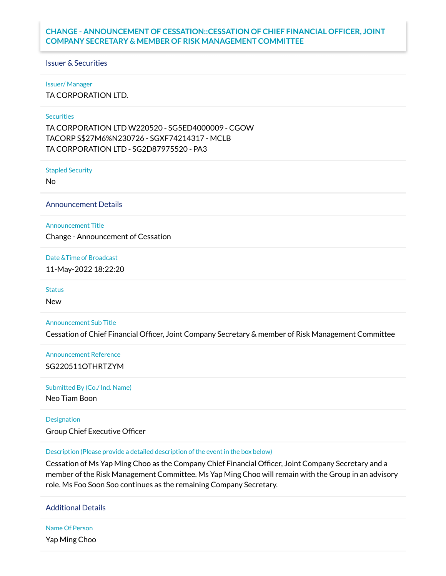# **CHANGE - ANNOUNCEMENT OF CESSATION::CESSATION OF CHIEF FINANCIAL OFFICER, JOINT COMPANY SECRETARY & MEMBER OF RISK MANAGEMENT COMMITTEE**

## Issuer & Securities

#### Issuer/ Manager

TA CORPORATION LTD.

## **Securities**

TA CORPORATION LTD W220520 - SG5ED4000009 - CGOW TACORP S\$27M6%N230726 - SGXF74214317 - MCLB TA CORPORATION LTD - SG2D87975520 - PA3

Stapled Security

No

Announcement Details

Announcement Title

Change - Announcement of Cessation

Date &Time of Broadcast

11-May-2022 18:22:20

**Status** 

New

Announcement Sub Title

Cessation of Chief Financial Officer, Joint Company Secretary & member of Risk Management Committee

Announcement Reference SG220511OTHRTZYM

#### Submitted By (Co./ Ind. Name)

Neo Tiam Boon

# Designation

Group Chief Executive Officer

## Description (Please provide a detailed description of the event in the box below)

Cessation of Ms Yap Ming Choo as the Company Chief Financial Officer, Joint Company Secretary and a member of the Risk Management Committee. Ms Yap Ming Choo will remain with the Group in an advisory role. Ms Foo Soon Soo continues as the remaining Company Secretary.

Additional Details

Name Of Person Yap Ming Choo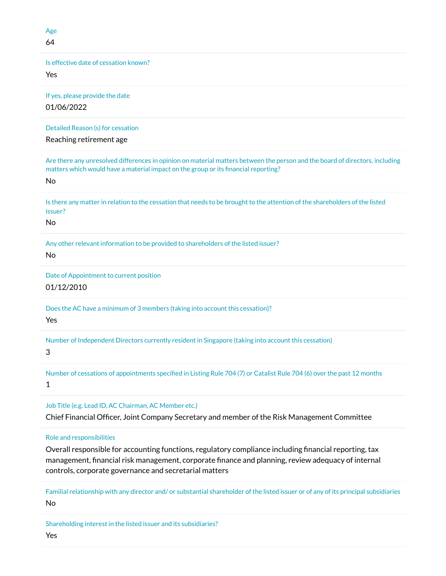Age 64

Is effective date of cessation known?

Yes

If yes, please provide the date 01/06/2022

Detailed Reason (s) for cessation

Reaching retirement age

Are there any unresolved differences in opinion on material matters between the person and the board of directors, including matters which would have a material impact on the group or its financial reporting?

No

Is there any matter in relation to the cessation that needs to be brought to the attention of the shareholders of the listed issuer?

No

Any other relevant information to be provided to shareholders of the listed issuer?

No

Date of Appointment to current position 01/12/2010

Does the AC have a minimum of 3 members (taking into account this cessation)?

Yes

Number of Independent Directors currently resident in Singapore (taking into account this cessation)

# 3

Number of cessations of appointments specified in Listing Rule 704 (7) or Catalist Rule 704 (6) over the past 12 months 1

Job Title (e.g. Lead ID, AC Chairman, AC Member etc.)

Chief Financial Officer, Joint Company Secretary and member of the Risk Management Committee

Role and responsibilities

Overall responsible for accounting functions, regulatory compliance including financial reporting, tax management, financial risk management, corporate finance and planning, review adequacy of internal controls, corporate governance and secretarial matters

Familial relationship with any director and/ or substantial shareholder of the listed issuer or of any of its principal subsidiaries No

Shareholding interest in the listed issuer and its subsidiaries?

Yes